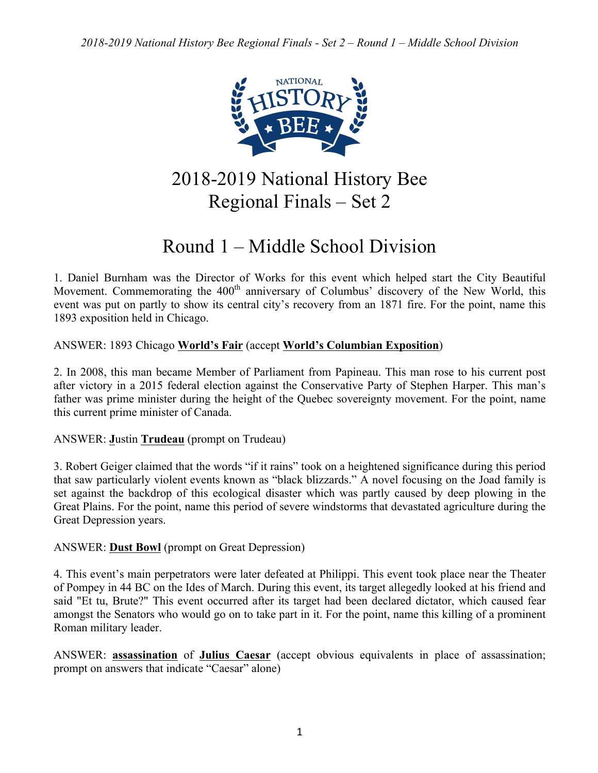

2018-2019 National History Bee Regional Finals – Set 2

# Round 1 – Middle School Division

1. Daniel Burnham was the Director of Works for this event which helped start the City Beautiful Movement. Commemorating the 400<sup>th</sup> anniversary of Columbus' discovery of the New World, this event was put on partly to show its central city's recovery from an 1871 fire. For the point, name this 1893 exposition held in Chicago.

ANSWER: 1893 Chicago **World's Fair** (accept **World's Columbian Exposition**)

2. In 2008, this man became Member of Parliament from Papineau. This man rose to his current post after victory in a 2015 federal election against the Conservative Party of Stephen Harper. This man's father was prime minister during the height of the Quebec sovereignty movement. For the point, name this current prime minister of Canada.

ANSWER: **J**ustin **Trudeau** (prompt on Trudeau)

3. Robert Geiger claimed that the words "if it rains" took on a heightened significance during this period that saw particularly violent events known as "black blizzards." A novel focusing on the Joad family is set against the backdrop of this ecological disaster which was partly caused by deep plowing in the Great Plains. For the point, name this period of severe windstorms that devastated agriculture during the Great Depression years.

ANSWER: **Dust Bowl** (prompt on Great Depression)

4. This event's main perpetrators were later defeated at Philippi. This event took place near the Theater of Pompey in 44 BC on the Ides of March. During this event, its target allegedly looked at his friend and said "Et tu, Brute?" This event occurred after its target had been declared dictator, which caused fear amongst the Senators who would go on to take part in it. For the point, name this killing of a prominent Roman military leader.

ANSWER: **assassination** of **Julius Caesar** (accept obvious equivalents in place of assassination; prompt on answers that indicate "Caesar" alone)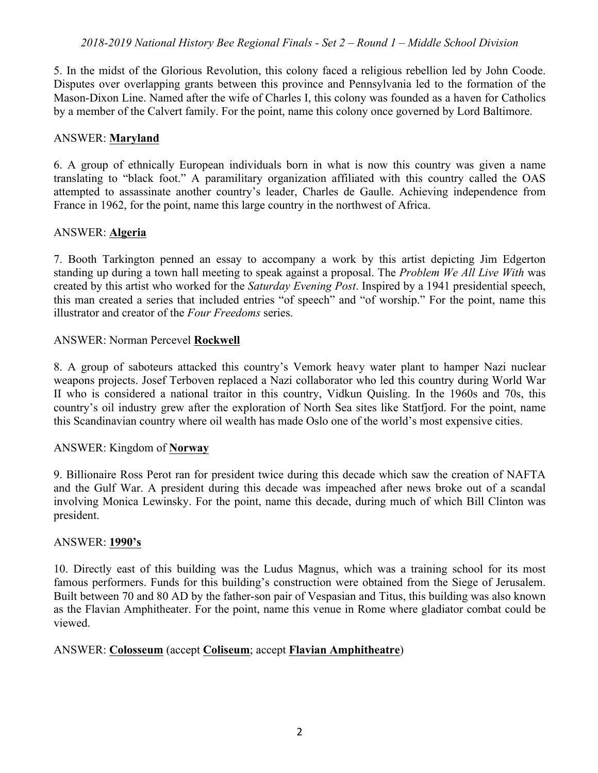5. In the midst of the Glorious Revolution, this colony faced a religious rebellion led by John Coode. Disputes over overlapping grants between this province and Pennsylvania led to the formation of the Mason-Dixon Line. Named after the wife of Charles I, this colony was founded as a haven for Catholics by a member of the Calvert family. For the point, name this colony once governed by Lord Baltimore.

#### ANSWER: **Maryland**

6. A group of ethnically European individuals born in what is now this country was given a name translating to "black foot." A paramilitary organization affiliated with this country called the OAS attempted to assassinate another country's leader, Charles de Gaulle. Achieving independence from France in 1962, for the point, name this large country in the northwest of Africa.

## ANSWER: **Algeria**

7. Booth Tarkington penned an essay to accompany a work by this artist depicting Jim Edgerton standing up during a town hall meeting to speak against a proposal. The *Problem We All Live With* was created by this artist who worked for the *Saturday Evening Post*. Inspired by a 1941 presidential speech, this man created a series that included entries "of speech" and "of worship." For the point, name this illustrator and creator of the *Four Freedoms* series.

## ANSWER: Norman Percevel **Rockwell**

8. A group of saboteurs attacked this country's Vemork heavy water plant to hamper Nazi nuclear weapons projects. Josef Terboven replaced a Nazi collaborator who led this country during World War II who is considered a national traitor in this country, Vidkun Quisling. In the 1960s and 70s, this country's oil industry grew after the exploration of North Sea sites like Statfjord. For the point, name this Scandinavian country where oil wealth has made Oslo one of the world's most expensive cities.

#### ANSWER: Kingdom of **Norway**

9. Billionaire Ross Perot ran for president twice during this decade which saw the creation of NAFTA and the Gulf War. A president during this decade was impeached after news broke out of a scandal involving Monica Lewinsky. For the point, name this decade, during much of which Bill Clinton was president.

#### ANSWER: **1990's**

10. Directly east of this building was the Ludus Magnus, which was a training school for its most famous performers. Funds for this building's construction were obtained from the Siege of Jerusalem. Built between 70 and 80 AD by the father-son pair of Vespasian and Titus, this building was also known as the Flavian Amphitheater. For the point, name this venue in Rome where gladiator combat could be viewed.

#### ANSWER: **Colosseum** (accept **Coliseum**; accept **Flavian Amphitheatre**)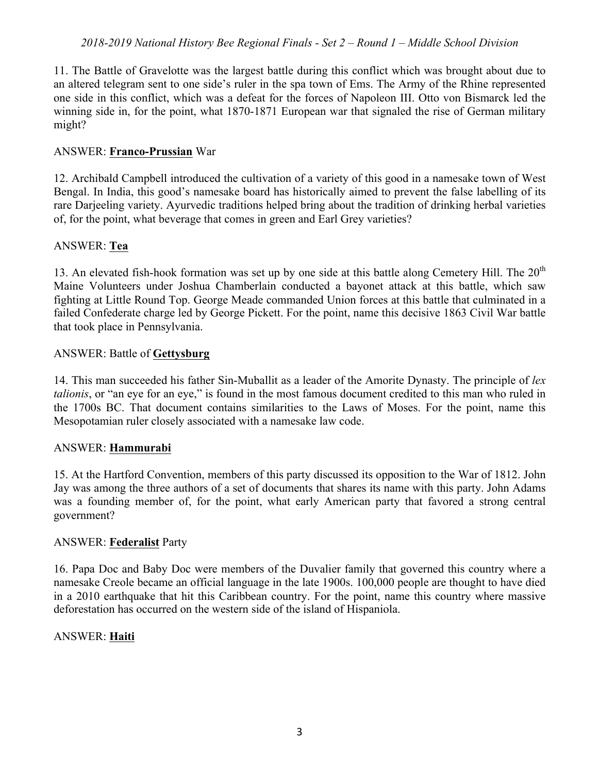11. The Battle of Gravelotte was the largest battle during this conflict which was brought about due to an altered telegram sent to one side's ruler in the spa town of Ems. The Army of the Rhine represented one side in this conflict, which was a defeat for the forces of Napoleon III. Otto von Bismarck led the winning side in, for the point, what 1870-1871 European war that signaled the rise of German military might?

#### ANSWER: **Franco-Prussian** War

12. Archibald Campbell introduced the cultivation of a variety of this good in a namesake town of West Bengal. In India, this good's namesake board has historically aimed to prevent the false labelling of its rare Darjeeling variety. Ayurvedic traditions helped bring about the tradition of drinking herbal varieties of, for the point, what beverage that comes in green and Earl Grey varieties?

## ANSWER: **Tea**

13. An elevated fish-hook formation was set up by one side at this battle along Cemetery Hill. The  $20<sup>th</sup>$ Maine Volunteers under Joshua Chamberlain conducted a bayonet attack at this battle, which saw fighting at Little Round Top. George Meade commanded Union forces at this battle that culminated in a failed Confederate charge led by George Pickett. For the point, name this decisive 1863 Civil War battle that took place in Pennsylvania.

## ANSWER: Battle of **Gettysburg**

14. This man succeeded his father Sin-Muballit as a leader of the Amorite Dynasty. The principle of *lex talionis*, or "an eye for an eye," is found in the most famous document credited to this man who ruled in the 1700s BC. That document contains similarities to the Laws of Moses. For the point, name this Mesopotamian ruler closely associated with a namesake law code.

#### ANSWER: **Hammurabi**

15. At the Hartford Convention, members of this party discussed its opposition to the War of 1812. John Jay was among the three authors of a set of documents that shares its name with this party. John Adams was a founding member of, for the point, what early American party that favored a strong central government?

#### ANSWER: **Federalist** Party

16. Papa Doc and Baby Doc were members of the Duvalier family that governed this country where a namesake Creole became an official language in the late 1900s. 100,000 people are thought to have died in a 2010 earthquake that hit this Caribbean country. For the point, name this country where massive deforestation has occurred on the western side of the island of Hispaniola.

#### ANSWER: **Haiti**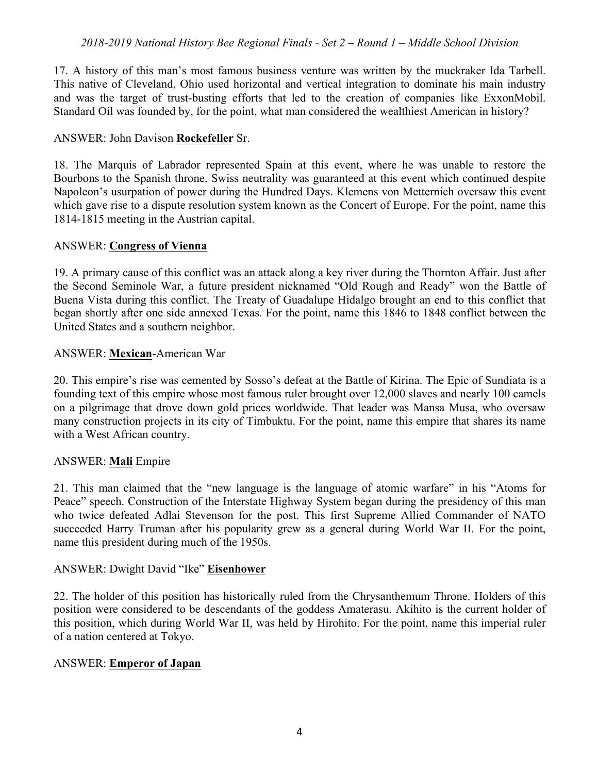17. A history of this man's most famous business venture was written by the muckraker Ida Tarbell. This native of Cleveland, Ohio used horizontal and vertical integration to dominate his main industry and was the target of trust-busting efforts that led to the creation of companies like ExxonMobil. Standard Oil was founded by, for the point, what man considered the wealthiest American in history?

#### ANSWER: John Davison **Rockefeller** Sr.

18. The Marquis of Labrador represented Spain at this event, where he was unable to restore the Bourbons to the Spanish throne. Swiss neutrality was guaranteed at this event which continued despite Napoleon's usurpation of power during the Hundred Days. Klemens von Metternich oversaw this event which gave rise to a dispute resolution system known as the Concert of Europe. For the point, name this 1814-1815 meeting in the Austrian capital.

#### ANSWER: **Congress of Vienna**

19. A primary cause of this conflict was an attack along a key river during the Thornton Affair. Just after the Second Seminole War, a future president nicknamed "Old Rough and Ready" won the Battle of Buena Vista during this conflict. The Treaty of Guadalupe Hidalgo brought an end to this conflict that began shortly after one side annexed Texas. For the point, name this 1846 to 1848 conflict between the United States and a southern neighbor.

## ANSWER: **Mexican**-American War

20. This empire's rise was cemented by Sosso's defeat at the Battle of Kirina. The Epic of Sundiata is a founding text of this empire whose most famous ruler brought over 12,000 slaves and nearly 100 camels on a pilgrimage that drove down gold prices worldwide. That leader was Mansa Musa, who oversaw many construction projects in its city of Timbuktu. For the point, name this empire that shares its name with a West African country.

#### ANSWER: **Mali** Empire

21. This man claimed that the "new language is the language of atomic warfare" in his "Atoms for Peace" speech. Construction of the Interstate Highway System began during the presidency of this man who twice defeated Adlai Stevenson for the post. This first Supreme Allied Commander of NATO succeeded Harry Truman after his popularity grew as a general during World War II. For the point, name this president during much of the 1950s.

#### ANSWER: Dwight David "Ike" **Eisenhower**

22. The holder of this position has historically ruled from the Chrysanthemum Throne. Holders of this position were considered to be descendants of the goddess Amaterasu. Akihito is the current holder of this position, which during World War II, was held by Hirohito. For the point, name this imperial ruler of a nation centered at Tokyo.

#### ANSWER: **Emperor of Japan**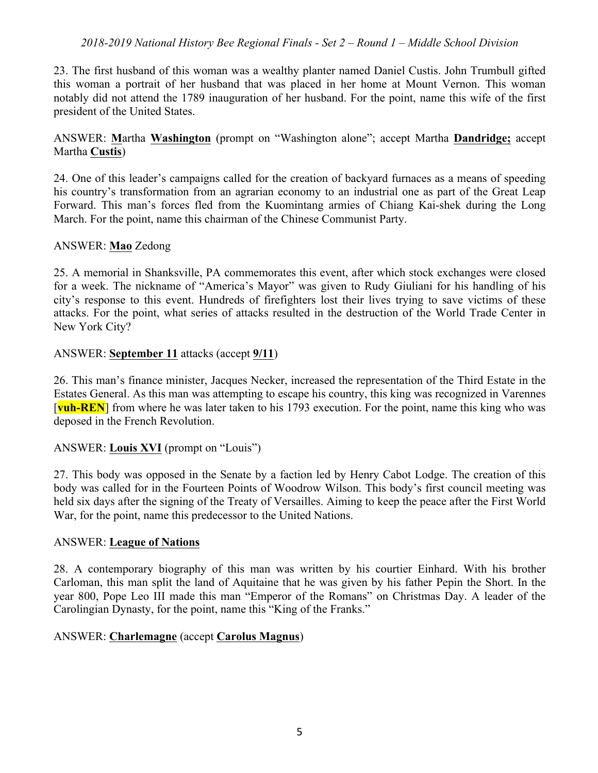23. The first husband of this woman was a wealthy planter named Daniel Custis. John Trumbull gifted this woman a portrait of her husband that was placed in her home at Mount Vernon. This woman notably did not attend the 1789 inauguration of her husband. For the point, name this wife of the first president of the United States.

ANSWER: **M**artha **Washington** (prompt on "Washington alone"; accept Martha **Dandridge;** accept Martha **Custis**)

24. One of this leader's campaigns called for the creation of backyard furnaces as a means of speeding his country's transformation from an agrarian economy to an industrial one as part of the Great Leap Forward. This man's forces fled from the Kuomintang armies of Chiang Kai-shek during the Long March. For the point, name this chairman of the Chinese Communist Party.

#### ANSWER: **Mao** Zedong

25. A memorial in Shanksville, PA commemorates this event, after which stock exchanges were closed for a week. The nickname of "America's Mayor" was given to Rudy Giuliani for his handling of his city's response to this event. Hundreds of firefighters lost their lives trying to save victims of these attacks. For the point, what series of attacks resulted in the destruction of the World Trade Center in New York City?

#### ANSWER: **September 11** attacks (accept **9/11**)

26. This man's finance minister, Jacques Necker, increased the representation of the Third Estate in the Estates General. As this man was attempting to escape his country, this king was recognized in Varennes [**vuh-REN**] from where he was later taken to his 1793 execution. For the point, name this king who was deposed in the French Revolution.

#### ANSWER: **Louis XVI** (prompt on "Louis")

27. This body was opposed in the Senate by a faction led by Henry Cabot Lodge. The creation of this body was called for in the Fourteen Points of Woodrow Wilson. This body's first council meeting was held six days after the signing of the Treaty of Versailles. Aiming to keep the peace after the First World War, for the point, name this predecessor to the United Nations.

#### ANSWER: **League of Nations**

28. A contemporary biography of this man was written by his courtier Einhard. With his brother Carloman, this man split the land of Aquitaine that he was given by his father Pepin the Short. In the year 800, Pope Leo III made this man "Emperor of the Romans" on Christmas Day. A leader of the Carolingian Dynasty, for the point, name this "King of the Franks."

#### ANSWER: **Charlemagne** (accept **Carolus Magnus**)